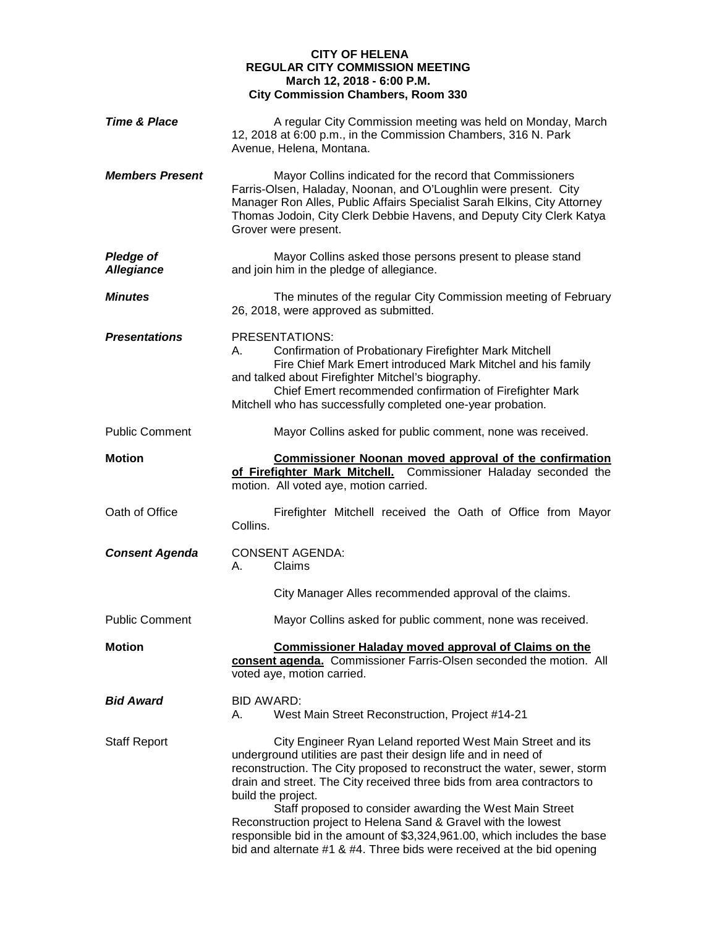## **CITY OF HELENA REGULAR CITY COMMISSION MEETING March 12, 2018 - 6:00 P.M. City Commission Chambers, Room 330**

| A regular City Commission meeting was held on Monday, March<br>12, 2018 at 6:00 p.m., in the Commission Chambers, 316 N. Park<br>Avenue, Helena, Montana.                                                                                                                                                                                                                                                                                                                                                                                                                                       |  |  |
|-------------------------------------------------------------------------------------------------------------------------------------------------------------------------------------------------------------------------------------------------------------------------------------------------------------------------------------------------------------------------------------------------------------------------------------------------------------------------------------------------------------------------------------------------------------------------------------------------|--|--|
| Mayor Collins indicated for the record that Commissioners<br>Farris-Olsen, Haladay, Noonan, and O'Loughlin were present. City<br>Manager Ron Alles, Public Affairs Specialist Sarah Elkins, City Attorney<br>Thomas Jodoin, City Clerk Debbie Havens, and Deputy City Clerk Katya<br>Grover were present.                                                                                                                                                                                                                                                                                       |  |  |
| Mayor Collins asked those persons present to please stand<br>and join him in the pledge of allegiance.                                                                                                                                                                                                                                                                                                                                                                                                                                                                                          |  |  |
| The minutes of the regular City Commission meeting of February<br>26, 2018, were approved as submitted.                                                                                                                                                                                                                                                                                                                                                                                                                                                                                         |  |  |
| <b>PRESENTATIONS:</b><br>Confirmation of Probationary Firefighter Mark Mitchell<br>Fire Chief Mark Emert introduced Mark Mitchel and his family<br>and talked about Firefighter Mitchel's biography.<br>Chief Emert recommended confirmation of Firefighter Mark<br>Mitchell who has successfully completed one-year probation.                                                                                                                                                                                                                                                                 |  |  |
| Mayor Collins asked for public comment, none was received.                                                                                                                                                                                                                                                                                                                                                                                                                                                                                                                                      |  |  |
| <b>Commissioner Noonan moved approval of the confirmation</b><br>of Firefighter Mark Mitchell.<br>Commissioner Haladay seconded the<br>motion. All voted aye, motion carried.                                                                                                                                                                                                                                                                                                                                                                                                                   |  |  |
| Firefighter Mitchell received the Oath of Office from Mayor<br>Collins.                                                                                                                                                                                                                                                                                                                                                                                                                                                                                                                         |  |  |
| <b>CONSENT AGENDA:</b><br>Claims<br>А.                                                                                                                                                                                                                                                                                                                                                                                                                                                                                                                                                          |  |  |
| City Manager Alles recommended approval of the claims.                                                                                                                                                                                                                                                                                                                                                                                                                                                                                                                                          |  |  |
| Mayor Collins asked for public comment, none was received.                                                                                                                                                                                                                                                                                                                                                                                                                                                                                                                                      |  |  |
| <b>Commissioner Haladay moved approval of Claims on the</b><br>consent agenda. Commissioner Farris-Olsen seconded the motion. All<br>voted aye, motion carried.                                                                                                                                                                                                                                                                                                                                                                                                                                 |  |  |
| <b>BID AWARD:</b><br>West Main Street Reconstruction, Project #14-21<br>А.                                                                                                                                                                                                                                                                                                                                                                                                                                                                                                                      |  |  |
| City Engineer Ryan Leland reported West Main Street and its<br>underground utilities are past their design life and in need of<br>reconstruction. The City proposed to reconstruct the water, sewer, storm<br>drain and street. The City received three bids from area contractors to<br>build the project.<br>Staff proposed to consider awarding the West Main Street<br>Reconstruction project to Helena Sand & Gravel with the lowest<br>responsible bid in the amount of \$3,324,961.00, which includes the base<br>bid and alternate #1 & #4. Three bids were received at the bid opening |  |  |
|                                                                                                                                                                                                                                                                                                                                                                                                                                                                                                                                                                                                 |  |  |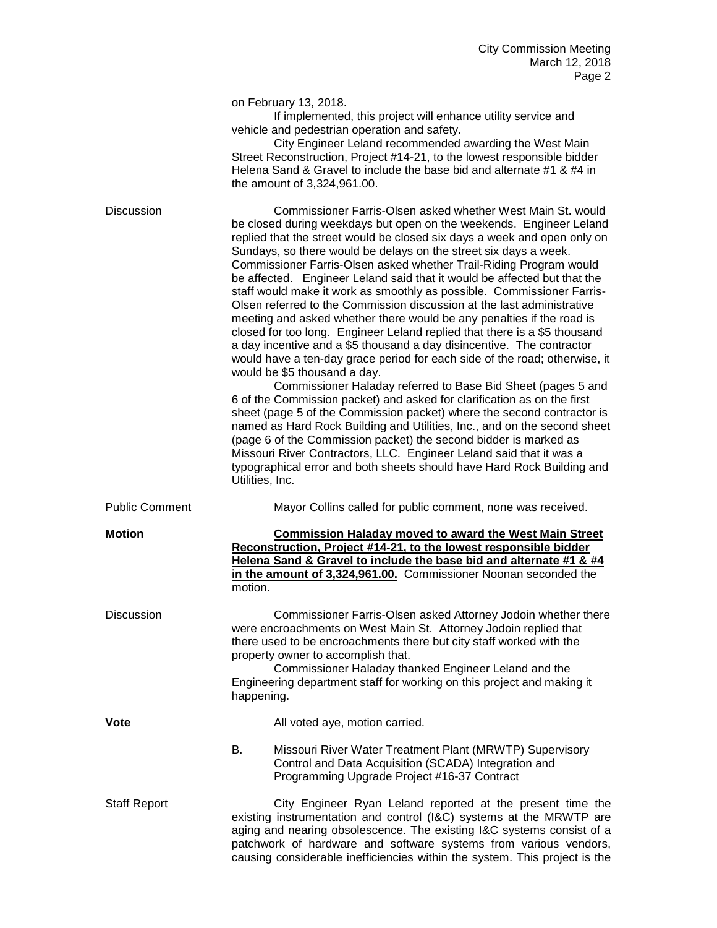|                       | on February 13, 2018.<br>If implemented, this project will enhance utility service and<br>vehicle and pedestrian operation and safety.<br>City Engineer Leland recommended awarding the West Main<br>Street Reconstruction, Project #14-21, to the lowest responsible bidder<br>Helena Sand & Gravel to include the base bid and alternate #1 & #4 in<br>the amount of 3,324,961.00.                                                                                                                                                                                                                                                                                                                                                                                                                                                                                                                                                                                                                                                                                                                                                                                                                                                                                                                                                                                                                                                                                           |
|-----------------------|--------------------------------------------------------------------------------------------------------------------------------------------------------------------------------------------------------------------------------------------------------------------------------------------------------------------------------------------------------------------------------------------------------------------------------------------------------------------------------------------------------------------------------------------------------------------------------------------------------------------------------------------------------------------------------------------------------------------------------------------------------------------------------------------------------------------------------------------------------------------------------------------------------------------------------------------------------------------------------------------------------------------------------------------------------------------------------------------------------------------------------------------------------------------------------------------------------------------------------------------------------------------------------------------------------------------------------------------------------------------------------------------------------------------------------------------------------------------------------|
| <b>Discussion</b>     | Commissioner Farris-Olsen asked whether West Main St. would<br>be closed during weekdays but open on the weekends. Engineer Leland<br>replied that the street would be closed six days a week and open only on<br>Sundays, so there would be delays on the street six days a week.<br>Commissioner Farris-Olsen asked whether Trail-Riding Program would<br>be affected. Engineer Leland said that it would be affected but that the<br>staff would make it work as smoothly as possible. Commissioner Farris-<br>Olsen referred to the Commission discussion at the last administrative<br>meeting and asked whether there would be any penalties if the road is<br>closed for too long. Engineer Leland replied that there is a \$5 thousand<br>a day incentive and a \$5 thousand a day disincentive. The contractor<br>would have a ten-day grace period for each side of the road; otherwise, it<br>would be \$5 thousand a day.<br>Commissioner Haladay referred to Base Bid Sheet (pages 5 and<br>6 of the Commission packet) and asked for clarification as on the first<br>sheet (page 5 of the Commission packet) where the second contractor is<br>named as Hard Rock Building and Utilities, Inc., and on the second sheet<br>(page 6 of the Commission packet) the second bidder is marked as<br>Missouri River Contractors, LLC. Engineer Leland said that it was a<br>typographical error and both sheets should have Hard Rock Building and<br>Utilities, Inc. |
| <b>Public Comment</b> | Mayor Collins called for public comment, none was received.                                                                                                                                                                                                                                                                                                                                                                                                                                                                                                                                                                                                                                                                                                                                                                                                                                                                                                                                                                                                                                                                                                                                                                                                                                                                                                                                                                                                                    |
| <b>Motion</b>         | <b>Commission Haladay moved to award the West Main Street</b><br>Reconstruction, Project #14-21, to the lowest responsible bidder<br>Helena Sand & Gravel to include the base bid and alternate #1 & #4<br>in the amount of 3,324,961.00. Commissioner Noonan seconded the<br>motion.                                                                                                                                                                                                                                                                                                                                                                                                                                                                                                                                                                                                                                                                                                                                                                                                                                                                                                                                                                                                                                                                                                                                                                                          |
| Discussion            | Commissioner Farris-Olsen asked Attorney Jodoin whether there<br>were encroachments on West Main St. Attorney Jodoin replied that<br>there used to be encroachments there but city staff worked with the<br>property owner to accomplish that.<br>Commissioner Haladay thanked Engineer Leland and the<br>Engineering department staff for working on this project and making it<br>happening.                                                                                                                                                                                                                                                                                                                                                                                                                                                                                                                                                                                                                                                                                                                                                                                                                                                                                                                                                                                                                                                                                 |
| Vote                  | All voted aye, motion carried.                                                                                                                                                                                                                                                                                                                                                                                                                                                                                                                                                                                                                                                                                                                                                                                                                                                                                                                                                                                                                                                                                                                                                                                                                                                                                                                                                                                                                                                 |
|                       | В.<br>Missouri River Water Treatment Plant (MRWTP) Supervisory<br>Control and Data Acquisition (SCADA) Integration and<br>Programming Upgrade Project #16-37 Contract                                                                                                                                                                                                                                                                                                                                                                                                                                                                                                                                                                                                                                                                                                                                                                                                                                                                                                                                                                                                                                                                                                                                                                                                                                                                                                          |
| <b>Staff Report</b>   | City Engineer Ryan Leland reported at the present time the<br>existing instrumentation and control (I&C) systems at the MRWTP are<br>aging and nearing obsolescence. The existing I&C systems consist of a<br>patchwork of hardware and software systems from various vendors,                                                                                                                                                                                                                                                                                                                                                                                                                                                                                                                                                                                                                                                                                                                                                                                                                                                                                                                                                                                                                                                                                                                                                                                                 |

causing considerable inefficiencies within the system. This project is the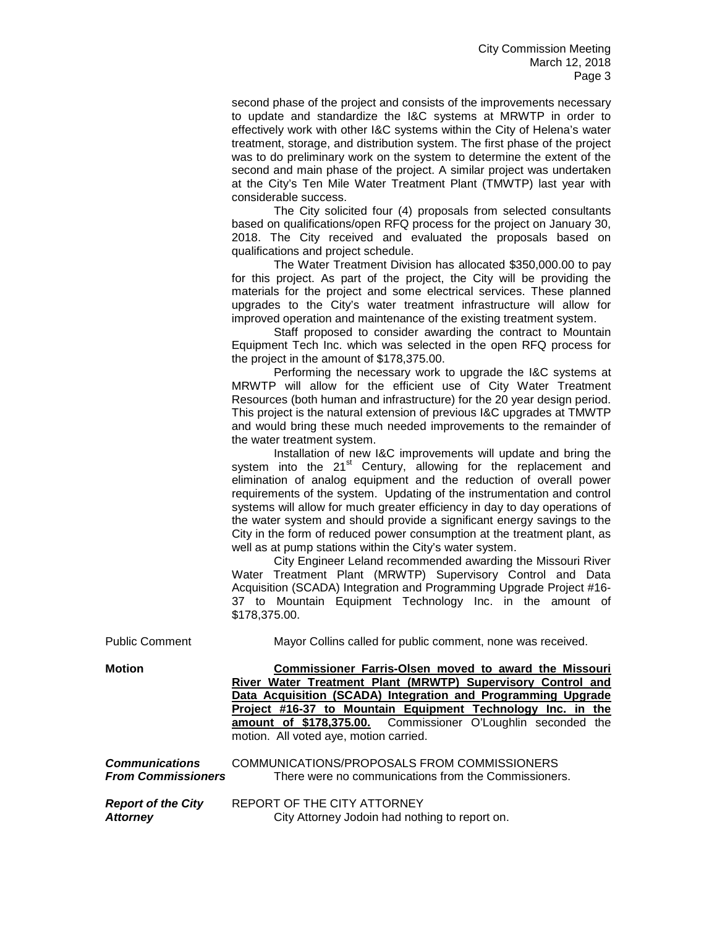second phase of the project and consists of the improvements necessary to update and standardize the I&C systems at MRWTP in order to effectively work with other I&C systems within the City of Helena's water treatment, storage, and distribution system. The first phase of the project was to do preliminary work on the system to determine the extent of the second and main phase of the project. A similar project was undertaken at the City's Ten Mile Water Treatment Plant (TMWTP) last year with considerable success.

The City solicited four (4) proposals from selected consultants based on qualifications/open RFQ process for the project on January 30, 2018. The City received and evaluated the proposals based on qualifications and project schedule.

The Water Treatment Division has allocated \$350,000.00 to pay for this project. As part of the project, the City will be providing the materials for the project and some electrical services. These planned upgrades to the City's water treatment infrastructure will allow for improved operation and maintenance of the existing treatment system.

Staff proposed to consider awarding the contract to Mountain Equipment Tech Inc. which was selected in the open RFQ process for the project in the amount of \$178,375.00.

Performing the necessary work to upgrade the I&C systems at MRWTP will allow for the efficient use of City Water Treatment Resources (both human and infrastructure) for the 20 year design period. This project is the natural extension of previous I&C upgrades at TMWTP and would bring these much needed improvements to the remainder of the water treatment system.

Installation of new I&C improvements will update and bring the system into the 21<sup>st</sup> Century, allowing for the replacement and elimination of analog equipment and the reduction of overall power requirements of the system. Updating of the instrumentation and control systems will allow for much greater efficiency in day to day operations of the water system and should provide a significant energy savings to the City in the form of reduced power consumption at the treatment plant, as well as at pump stations within the City's water system.

City Engineer Leland recommended awarding the Missouri River Water Treatment Plant (MRWTP) Supervisory Control and Data Acquisition (SCADA) Integration and Programming Upgrade Project #16- 37 to Mountain Equipment Technology Inc. in the amount of \$178,375.00.

|  |  |  | motion. All voted aye, motion carried.<br>REPORT OF THE CITY ATTORNEY | City Attorney Jodoin had nothing to report on. | Mayor Collins called for public comment, none was received.<br>Commissioner Farris-Olsen moved to award the Missouri<br>River Water Treatment Plant (MRWTP) Supervisory Control and<br>Data Acquisition (SCADA) Integration and Programming Upgrade<br>Project #16-37 to Mountain Equipment Technology Inc. in the<br>amount of \$178,375.00. Commissioner O'Loughlin seconded the<br>COMMUNICATIONS/PROPOSALS FROM COMMISSIONERS<br>There were no communications from the Commissioners. |
|--|--|--|-----------------------------------------------------------------------|------------------------------------------------|-------------------------------------------------------------------------------------------------------------------------------------------------------------------------------------------------------------------------------------------------------------------------------------------------------------------------------------------------------------------------------------------------------------------------------------------------------------------------------------------|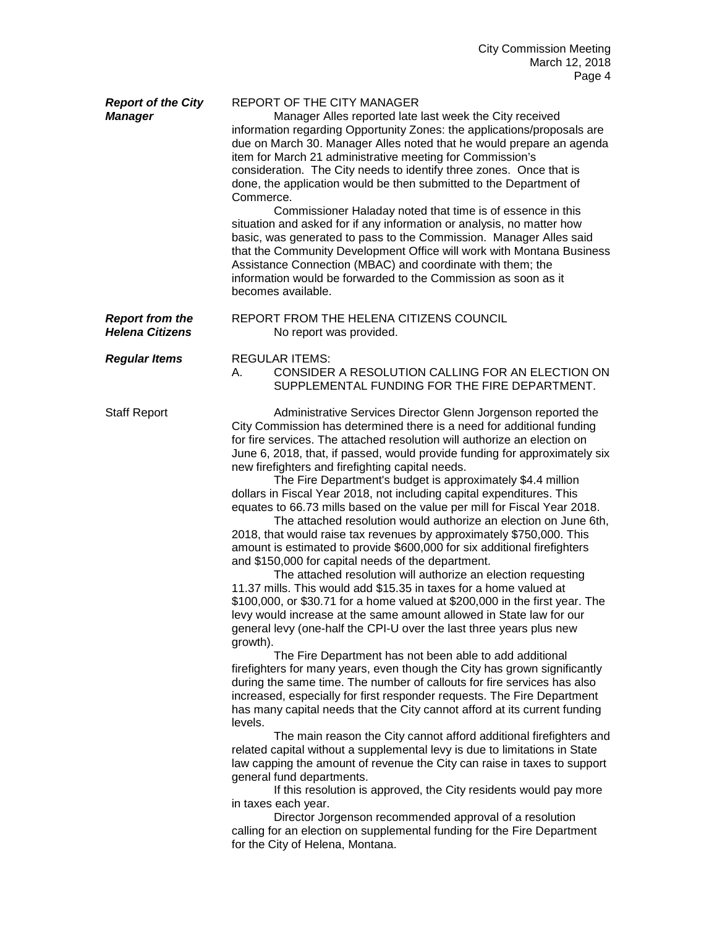| <b>Report of the City</b><br><b>Manager</b>      | REPORT OF THE CITY MANAGER<br>Manager Alles reported late last week the City received<br>information regarding Opportunity Zones: the applications/proposals are<br>due on March 30. Manager Alles noted that he would prepare an agenda<br>item for March 21 administrative meeting for Commission's<br>consideration. The City needs to identify three zones. Once that is<br>done, the application would be then submitted to the Department of<br>Commerce.<br>Commissioner Haladay noted that time is of essence in this<br>situation and asked for if any information or analysis, no matter how<br>basic, was generated to pass to the Commission. Manager Alles said<br>that the Community Development Office will work with Montana Business<br>Assistance Connection (MBAC) and coordinate with them; the<br>information would be forwarded to the Commission as soon as it<br>becomes available.                                                                                                                                                                                                                                                                                                                                                                                                                                                                                                                                                                                                                                                                                                                                                                                                                                                                                                                                                                                                                                                                                                                                                                                                                                                    |
|--------------------------------------------------|----------------------------------------------------------------------------------------------------------------------------------------------------------------------------------------------------------------------------------------------------------------------------------------------------------------------------------------------------------------------------------------------------------------------------------------------------------------------------------------------------------------------------------------------------------------------------------------------------------------------------------------------------------------------------------------------------------------------------------------------------------------------------------------------------------------------------------------------------------------------------------------------------------------------------------------------------------------------------------------------------------------------------------------------------------------------------------------------------------------------------------------------------------------------------------------------------------------------------------------------------------------------------------------------------------------------------------------------------------------------------------------------------------------------------------------------------------------------------------------------------------------------------------------------------------------------------------------------------------------------------------------------------------------------------------------------------------------------------------------------------------------------------------------------------------------------------------------------------------------------------------------------------------------------------------------------------------------------------------------------------------------------------------------------------------------------------------------------------------------------------------------------------------------|
| <b>Report from the</b><br><b>Helena Citizens</b> | REPORT FROM THE HELENA CITIZENS COUNCIL<br>No report was provided.                                                                                                                                                                                                                                                                                                                                                                                                                                                                                                                                                                                                                                                                                                                                                                                                                                                                                                                                                                                                                                                                                                                                                                                                                                                                                                                                                                                                                                                                                                                                                                                                                                                                                                                                                                                                                                                                                                                                                                                                                                                                                             |
| <b>Regular Items</b>                             | <b>REGULAR ITEMS:</b><br>CONSIDER A RESOLUTION CALLING FOR AN ELECTION ON<br>А.<br>SUPPLEMENTAL FUNDING FOR THE FIRE DEPARTMENT.                                                                                                                                                                                                                                                                                                                                                                                                                                                                                                                                                                                                                                                                                                                                                                                                                                                                                                                                                                                                                                                                                                                                                                                                                                                                                                                                                                                                                                                                                                                                                                                                                                                                                                                                                                                                                                                                                                                                                                                                                               |
| <b>Staff Report</b>                              | Administrative Services Director Glenn Jorgenson reported the<br>City Commission has determined there is a need for additional funding<br>for fire services. The attached resolution will authorize an election on<br>June 6, 2018, that, if passed, would provide funding for approximately six<br>new firefighters and firefighting capital needs.<br>The Fire Department's budget is approximately \$4.4 million<br>dollars in Fiscal Year 2018, not including capital expenditures. This<br>equates to 66.73 mills based on the value per mill for Fiscal Year 2018.<br>The attached resolution would authorize an election on June 6th,<br>2018, that would raise tax revenues by approximately \$750,000. This<br>amount is estimated to provide \$600,000 for six additional firefighters<br>and \$150,000 for capital needs of the department.<br>The attached resolution will authorize an election requesting<br>11.37 mills. This would add \$15.35 in taxes for a home valued at<br>\$100,000, or \$30.71 for a home valued at \$200,000 in the first year. The<br>levy would increase at the same amount allowed in State law for our<br>general levy (one-half the CPI-U over the last three years plus new<br>growth).<br>The Fire Department has not been able to add additional<br>firefighters for many years, even though the City has grown significantly<br>during the same time. The number of callouts for fire services has also<br>increased, especially for first responder requests. The Fire Department<br>has many capital needs that the City cannot afford at its current funding<br>levels.<br>The main reason the City cannot afford additional firefighters and<br>related capital without a supplemental levy is due to limitations in State<br>law capping the amount of revenue the City can raise in taxes to support<br>general fund departments.<br>If this resolution is approved, the City residents would pay more<br>in taxes each year.<br>Director Jorgenson recommended approval of a resolution<br>calling for an election on supplemental funding for the Fire Department<br>for the City of Helena, Montana. |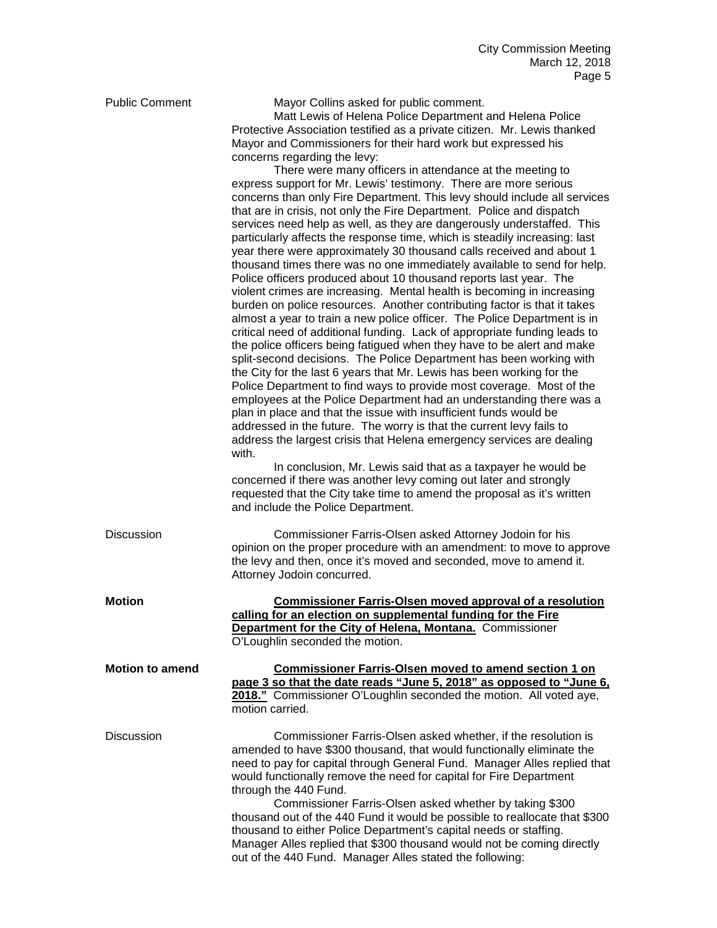| <b>Public Comment</b>  | Mayor Collins asked for public comment.<br>Matt Lewis of Helena Police Department and Helena Police<br>Protective Association testified as a private citizen. Mr. Lewis thanked<br>Mayor and Commissioners for their hard work but expressed his<br>concerns regarding the levy:<br>There were many officers in attendance at the meeting to<br>express support for Mr. Lewis' testimony. There are more serious<br>concerns than only Fire Department. This levy should include all services<br>that are in crisis, not only the Fire Department. Police and dispatch<br>services need help as well, as they are dangerously understaffed. This<br>particularly affects the response time, which is steadily increasing: last<br>year there were approximately 30 thousand calls received and about 1<br>thousand times there was no one immediately available to send for help.<br>Police officers produced about 10 thousand reports last year. The<br>violent crimes are increasing. Mental health is becoming in increasing<br>burden on police resources. Another contributing factor is that it takes<br>almost a year to train a new police officer. The Police Department is in<br>critical need of additional funding. Lack of appropriate funding leads to<br>the police officers being fatigued when they have to be alert and make<br>split-second decisions. The Police Department has been working with |
|------------------------|------------------------------------------------------------------------------------------------------------------------------------------------------------------------------------------------------------------------------------------------------------------------------------------------------------------------------------------------------------------------------------------------------------------------------------------------------------------------------------------------------------------------------------------------------------------------------------------------------------------------------------------------------------------------------------------------------------------------------------------------------------------------------------------------------------------------------------------------------------------------------------------------------------------------------------------------------------------------------------------------------------------------------------------------------------------------------------------------------------------------------------------------------------------------------------------------------------------------------------------------------------------------------------------------------------------------------------------------------------------------------------------------------------------------|
|                        | the City for the last 6 years that Mr. Lewis has been working for the<br>Police Department to find ways to provide most coverage. Most of the<br>employees at the Police Department had an understanding there was a<br>plan in place and that the issue with insufficient funds would be<br>addressed in the future. The worry is that the current levy fails to<br>address the largest crisis that Helena emergency services are dealing<br>with.<br>In conclusion, Mr. Lewis said that as a taxpayer he would be<br>concerned if there was another levy coming out later and strongly                                                                                                                                                                                                                                                                                                                                                                                                                                                                                                                                                                                                                                                                                                                                                                                                                               |
|                        | requested that the City take time to amend the proposal as it's written<br>and include the Police Department.                                                                                                                                                                                                                                                                                                                                                                                                                                                                                                                                                                                                                                                                                                                                                                                                                                                                                                                                                                                                                                                                                                                                                                                                                                                                                                          |
| <b>Discussion</b>      | Commissioner Farris-Olsen asked Attorney Jodoin for his<br>opinion on the proper procedure with an amendment: to move to approve<br>the levy and then, once it's moved and seconded, move to amend it.<br>Attorney Jodoin concurred.                                                                                                                                                                                                                                                                                                                                                                                                                                                                                                                                                                                                                                                                                                                                                                                                                                                                                                                                                                                                                                                                                                                                                                                   |
| <b>Motion</b>          | <b>Commissioner Farris-Olsen moved approval of a resolution</b><br>calling for an election on supplemental funding for the Fire<br>Department for the City of Helena, Montana. Commissioner<br>O'Loughlin seconded the motion.                                                                                                                                                                                                                                                                                                                                                                                                                                                                                                                                                                                                                                                                                                                                                                                                                                                                                                                                                                                                                                                                                                                                                                                         |
| <b>Motion to amend</b> | <b>Commissioner Farris-Olsen moved to amend section 1 on</b><br>page 3 so that the date reads "June 5, 2018" as opposed to "June 6,<br>2018." Commissioner O'Loughlin seconded the motion. All voted aye,<br>motion carried.                                                                                                                                                                                                                                                                                                                                                                                                                                                                                                                                                                                                                                                                                                                                                                                                                                                                                                                                                                                                                                                                                                                                                                                           |
| <b>Discussion</b>      | Commissioner Farris-Olsen asked whether, if the resolution is<br>amended to have \$300 thousand, that would functionally eliminate the<br>need to pay for capital through General Fund. Manager Alles replied that<br>would functionally remove the need for capital for Fire Department<br>through the 440 Fund.<br>Commissioner Farris-Olsen asked whether by taking \$300<br>thousand out of the 440 Fund it would be possible to reallocate that \$300<br>thousand to either Police Department's capital needs or staffing.<br>Manager Alles replied that \$300 thousand would not be coming directly<br>out of the 440 Fund. Manager Alles stated the following:                                                                                                                                                                                                                                                                                                                                                                                                                                                                                                                                                                                                                                                                                                                                                  |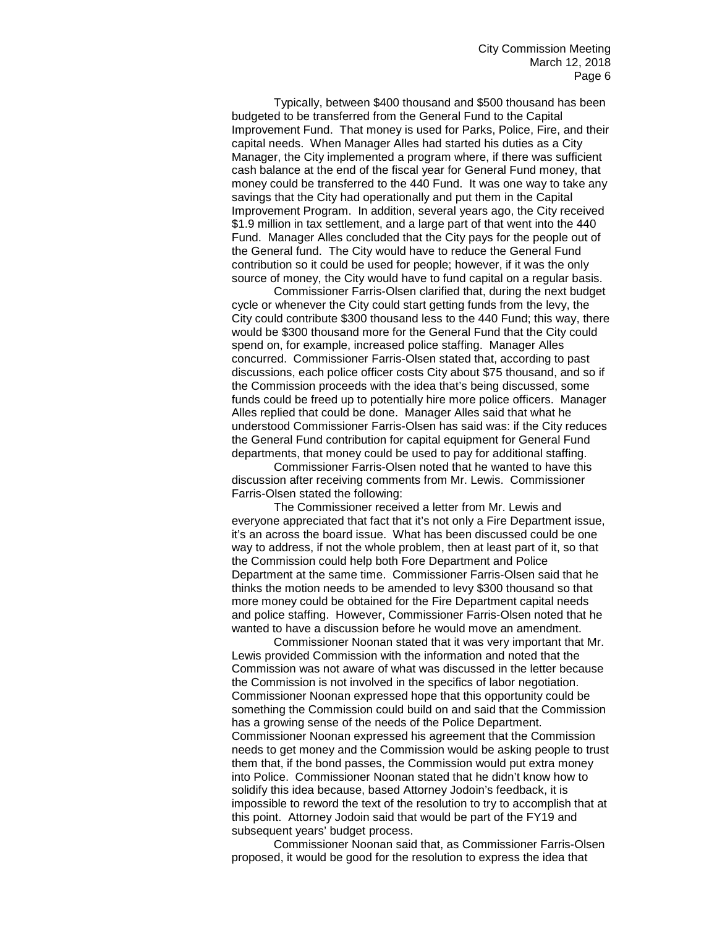Typically, between \$400 thousand and \$500 thousand has been budgeted to be transferred from the General Fund to the Capital Improvement Fund. That money is used for Parks, Police, Fire, and their capital needs. When Manager Alles had started his duties as a City Manager, the City implemented a program where, if there was sufficient cash balance at the end of the fiscal year for General Fund money, that money could be transferred to the 440 Fund. It was one way to take any savings that the City had operationally and put them in the Capital Improvement Program. In addition, several years ago, the City received \$1.9 million in tax settlement, and a large part of that went into the 440 Fund. Manager Alles concluded that the City pays for the people out of the General fund. The City would have to reduce the General Fund contribution so it could be used for people; however, if it was the only source of money, the City would have to fund capital on a regular basis.

Commissioner Farris-Olsen clarified that, during the next budget cycle or whenever the City could start getting funds from the levy, the City could contribute \$300 thousand less to the 440 Fund; this way, there would be \$300 thousand more for the General Fund that the City could spend on, for example, increased police staffing. Manager Alles concurred. Commissioner Farris-Olsen stated that, according to past discussions, each police officer costs City about \$75 thousand, and so if the Commission proceeds with the idea that's being discussed, some funds could be freed up to potentially hire more police officers. Manager Alles replied that could be done. Manager Alles said that what he understood Commissioner Farris-Olsen has said was: if the City reduces the General Fund contribution for capital equipment for General Fund departments, that money could be used to pay for additional staffing.

Commissioner Farris-Olsen noted that he wanted to have this discussion after receiving comments from Mr. Lewis. Commissioner Farris-Olsen stated the following:

The Commissioner received a letter from Mr. Lewis and everyone appreciated that fact that it's not only a Fire Department issue, it's an across the board issue. What has been discussed could be one way to address, if not the whole problem, then at least part of it, so that the Commission could help both Fore Department and Police Department at the same time. Commissioner Farris-Olsen said that he thinks the motion needs to be amended to levy \$300 thousand so that more money could be obtained for the Fire Department capital needs and police staffing. However, Commissioner Farris-Olsen noted that he wanted to have a discussion before he would move an amendment.

Commissioner Noonan stated that it was very important that Mr. Lewis provided Commission with the information and noted that the Commission was not aware of what was discussed in the letter because the Commission is not involved in the specifics of labor negotiation. Commissioner Noonan expressed hope that this opportunity could be something the Commission could build on and said that the Commission has a growing sense of the needs of the Police Department. Commissioner Noonan expressed his agreement that the Commission needs to get money and the Commission would be asking people to trust them that, if the bond passes, the Commission would put extra money into Police. Commissioner Noonan stated that he didn't know how to solidify this idea because, based Attorney Jodoin's feedback, it is impossible to reword the text of the resolution to try to accomplish that at this point. Attorney Jodoin said that would be part of the FY19 and subsequent years' budget process.

Commissioner Noonan said that, as Commissioner Farris-Olsen proposed, it would be good for the resolution to express the idea that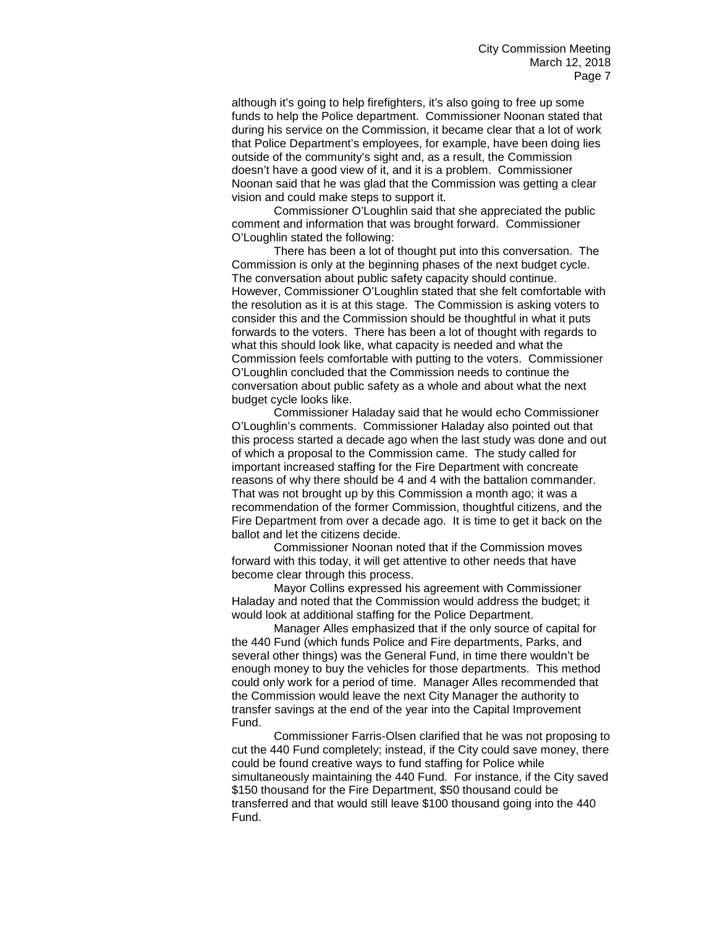although it's going to help firefighters, it's also going to free up some funds to help the Police department. Commissioner Noonan stated that during his service on the Commission, it became clear that a lot of work that Police Department's employees, for example, have been doing lies outside of the community's sight and, as a result, the Commission doesn't have a good view of it, and it is a problem. Commissioner Noonan said that he was glad that the Commission was getting a clear vision and could make steps to support it.

Commissioner O'Loughlin said that she appreciated the public comment and information that was brought forward. Commissioner O'Loughlin stated the following:

There has been a lot of thought put into this conversation. The Commission is only at the beginning phases of the next budget cycle. The conversation about public safety capacity should continue. However, Commissioner O'Loughlin stated that she felt comfortable with the resolution as it is at this stage. The Commission is asking voters to consider this and the Commission should be thoughtful in what it puts forwards to the voters. There has been a lot of thought with regards to what this should look like, what capacity is needed and what the Commission feels comfortable with putting to the voters. Commissioner O'Loughlin concluded that the Commission needs to continue the conversation about public safety as a whole and about what the next budget cycle looks like.

Commissioner Haladay said that he would echo Commissioner O'Loughlin's comments. Commissioner Haladay also pointed out that this process started a decade ago when the last study was done and out of which a proposal to the Commission came. The study called for important increased staffing for the Fire Department with concreate reasons of why there should be 4 and 4 with the battalion commander. That was not brought up by this Commission a month ago; it was a recommendation of the former Commission, thoughtful citizens, and the Fire Department from over a decade ago. It is time to get it back on the ballot and let the citizens decide.

Commissioner Noonan noted that if the Commission moves forward with this today, it will get attentive to other needs that have become clear through this process.

Mayor Collins expressed his agreement with Commissioner Haladay and noted that the Commission would address the budget; it would look at additional staffing for the Police Department.

Manager Alles emphasized that if the only source of capital for the 440 Fund (which funds Police and Fire departments, Parks, and several other things) was the General Fund, in time there wouldn't be enough money to buy the vehicles for those departments. This method could only work for a period of time. Manager Alles recommended that the Commission would leave the next City Manager the authority to transfer savings at the end of the year into the Capital Improvement Fund.

Commissioner Farris-Olsen clarified that he was not proposing to cut the 440 Fund completely; instead, if the City could save money, there could be found creative ways to fund staffing for Police while simultaneously maintaining the 440 Fund. For instance, if the City saved \$150 thousand for the Fire Department, \$50 thousand could be transferred and that would still leave \$100 thousand going into the 440 Fund.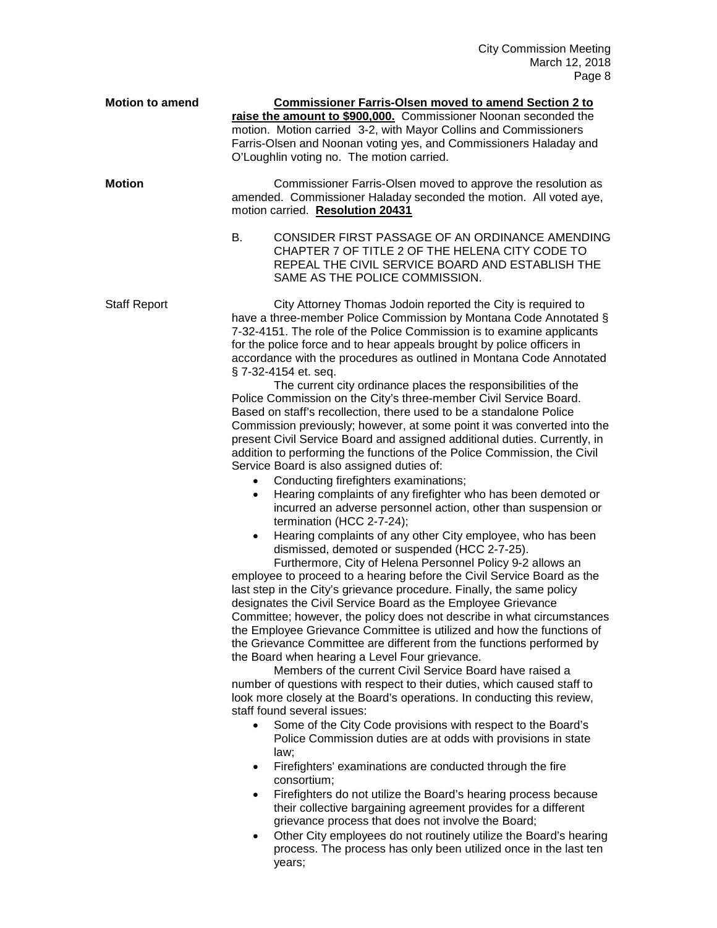| <b>Motion to amend</b> | <b>Commissioner Farris-Olsen moved to amend Section 2 to</b><br>raise the amount to \$900,000. Commissioner Noonan seconded the<br>motion. Motion carried 3-2, with Mayor Collins and Commissioners<br>Farris-Olsen and Noonan voting yes, and Commissioners Haladay and<br>O'Loughlin voting no. The motion carried.                                                                                                                                              |
|------------------------|--------------------------------------------------------------------------------------------------------------------------------------------------------------------------------------------------------------------------------------------------------------------------------------------------------------------------------------------------------------------------------------------------------------------------------------------------------------------|
| <b>Motion</b>          | Commissioner Farris-Olsen moved to approve the resolution as<br>amended. Commissioner Haladay seconded the motion. All voted aye,<br>motion carried. Resolution 20431<br><b>B.</b><br>CONSIDER FIRST PASSAGE OF AN ORDINANCE AMENDING<br>CHAPTER 7 OF TITLE 2 OF THE HELENA CITY CODE TO                                                                                                                                                                           |
|                        | REPEAL THE CIVIL SERVICE BOARD AND ESTABLISH THE<br>SAME AS THE POLICE COMMISSION.                                                                                                                                                                                                                                                                                                                                                                                 |
| <b>Staff Report</b>    | City Attorney Thomas Jodoin reported the City is required to<br>have a three-member Police Commission by Montana Code Annotated §<br>7-32-4151. The role of the Police Commission is to examine applicants<br>for the police force and to hear appeals brought by police officers in<br>accordance with the procedures as outlined in Montana Code Annotated<br>§ 7-32-4154 et. seq.<br>The current city ordinance places the responsibilities of the              |
|                        | Police Commission on the City's three-member Civil Service Board.<br>Based on staff's recollection, there used to be a standalone Police<br>Commission previously; however, at some point it was converted into the<br>present Civil Service Board and assigned additional duties. Currently, in<br>addition to performing the functions of the Police Commission, the Civil<br>Service Board is also assigned duties of:<br>Conducting firefighters examinations; |
|                        | Hearing complaints of any firefighter who has been demoted or<br>$\bullet$<br>incurred an adverse personnel action, other than suspension or<br>termination (HCC 2-7-24);                                                                                                                                                                                                                                                                                          |
|                        | Hearing complaints of any other City employee, who has been<br>٠<br>dismissed, demoted or suspended (HCC 2-7-25).<br>Furthermore, City of Helena Personnel Policy 9-2 allows an                                                                                                                                                                                                                                                                                    |
|                        | employee to proceed to a hearing before the Civil Service Board as the<br>last step in the City's grievance procedure. Finally, the same policy<br>designates the Civil Service Board as the Employee Grievance<br>Committee; however, the policy does not describe in what circumstances<br>the Employee Grievance Committee is utilized and how the functions of<br>the Grievance Committee are different from the functions performed by                        |
|                        | the Board when hearing a Level Four grievance.<br>Members of the current Civil Service Board have raised a<br>number of questions with respect to their duties, which caused staff to<br>look more closely at the Board's operations. In conducting this review,<br>staff found several issues:                                                                                                                                                                    |
|                        | Some of the City Code provisions with respect to the Board's<br>$\bullet$<br>Police Commission duties are at odds with provisions in state<br>law;                                                                                                                                                                                                                                                                                                                 |
|                        | Firefighters' examinations are conducted through the fire<br>$\bullet$<br>consortium;<br>Firefighters do not utilize the Board's hearing process because<br>٠                                                                                                                                                                                                                                                                                                      |
|                        | their collective bargaining agreement provides for a different<br>grievance process that does not involve the Board;<br>Other City employees do not routinely utilize the Board's hearing<br>٠<br>process. The process has only been utilized once in the last ten                                                                                                                                                                                                 |
|                        | years;                                                                                                                                                                                                                                                                                                                                                                                                                                                             |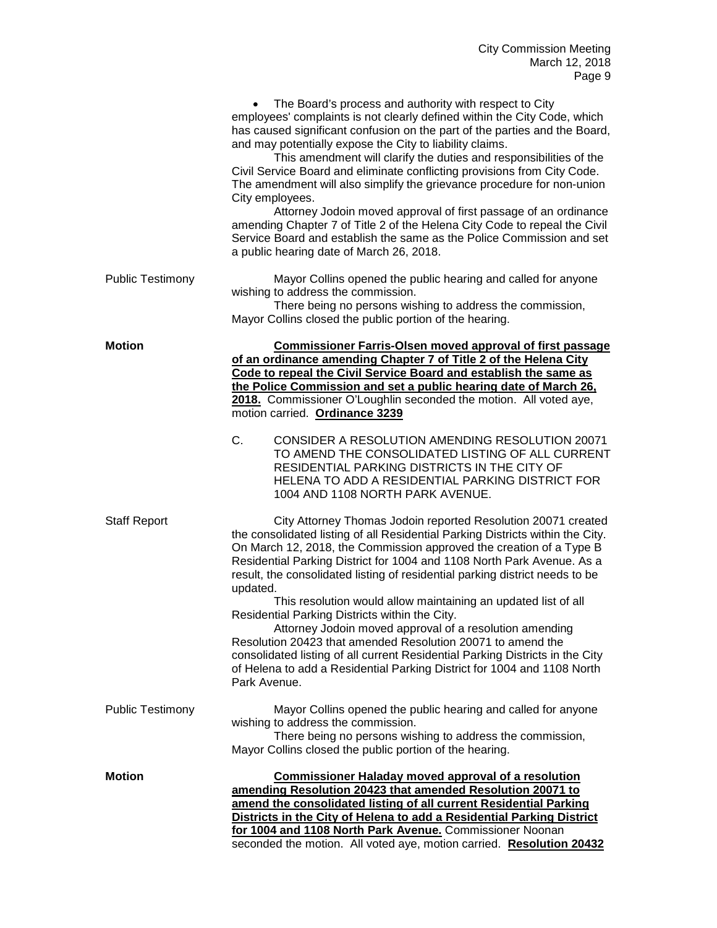|                         | The Board's process and authority with respect to City<br>employees' complaints is not clearly defined within the City Code, which<br>has caused significant confusion on the part of the parties and the Board,<br>and may potentially expose the City to liability claims.<br>This amendment will clarify the duties and responsibilities of the<br>Civil Service Board and eliminate conflicting provisions from City Code.<br>The amendment will also simplify the grievance procedure for non-union<br>City employees.<br>Attorney Jodoin moved approval of first passage of an ordinance<br>amending Chapter 7 of Title 2 of the Helena City Code to repeal the Civil<br>Service Board and establish the same as the Police Commission and set<br>a public hearing date of March 26, 2018.                       |
|-------------------------|------------------------------------------------------------------------------------------------------------------------------------------------------------------------------------------------------------------------------------------------------------------------------------------------------------------------------------------------------------------------------------------------------------------------------------------------------------------------------------------------------------------------------------------------------------------------------------------------------------------------------------------------------------------------------------------------------------------------------------------------------------------------------------------------------------------------|
| <b>Public Testimony</b> | Mayor Collins opened the public hearing and called for anyone<br>wishing to address the commission.<br>There being no persons wishing to address the commission,<br>Mayor Collins closed the public portion of the hearing.                                                                                                                                                                                                                                                                                                                                                                                                                                                                                                                                                                                            |
| <b>Motion</b>           | <b>Commissioner Farris-Olsen moved approval of first passage</b><br>of an ordinance amending Chapter 7 of Title 2 of the Helena City<br>Code to repeal the Civil Service Board and establish the same as<br>the Police Commission and set a public hearing date of March 26.<br>2018. Commissioner O'Loughlin seconded the motion. All voted aye,<br>motion carried. Ordinance 3239                                                                                                                                                                                                                                                                                                                                                                                                                                    |
|                         | C.<br>CONSIDER A RESOLUTION AMENDING RESOLUTION 20071<br>TO AMEND THE CONSOLIDATED LISTING OF ALL CURRENT<br>RESIDENTIAL PARKING DISTRICTS IN THE CITY OF<br>HELENA TO ADD A RESIDENTIAL PARKING DISTRICT FOR<br>1004 AND 1108 NORTH PARK AVENUE.                                                                                                                                                                                                                                                                                                                                                                                                                                                                                                                                                                      |
| <b>Staff Report</b>     | City Attorney Thomas Jodoin reported Resolution 20071 created<br>the consolidated listing of all Residential Parking Districts within the City.<br>On March 12, 2018, the Commission approved the creation of a Type B<br>Residential Parking District for 1004 and 1108 North Park Avenue. As a<br>result, the consolidated listing of residential parking district needs to be<br>updated.<br>This resolution would allow maintaining an updated list of all<br>Residential Parking Districts within the City.<br>Attorney Jodoin moved approval of a resolution amending<br>Resolution 20423 that amended Resolution 20071 to amend the<br>consolidated listing of all current Residential Parking Districts in the City<br>of Helena to add a Residential Parking District for 1004 and 1108 North<br>Park Avenue. |
| <b>Public Testimony</b> | Mayor Collins opened the public hearing and called for anyone<br>wishing to address the commission.<br>There being no persons wishing to address the commission,<br>Mayor Collins closed the public portion of the hearing.                                                                                                                                                                                                                                                                                                                                                                                                                                                                                                                                                                                            |
| <b>Motion</b>           | <b>Commissioner Haladay moved approval of a resolution</b><br>amending Resolution 20423 that amended Resolution 20071 to<br>amend the consolidated listing of all current Residential Parking<br>Districts in the City of Helena to add a Residential Parking District<br>for 1004 and 1108 North Park Avenue. Commissioner Noonan<br>seconded the motion. All voted aye, motion carried. Resolution 20432                                                                                                                                                                                                                                                                                                                                                                                                             |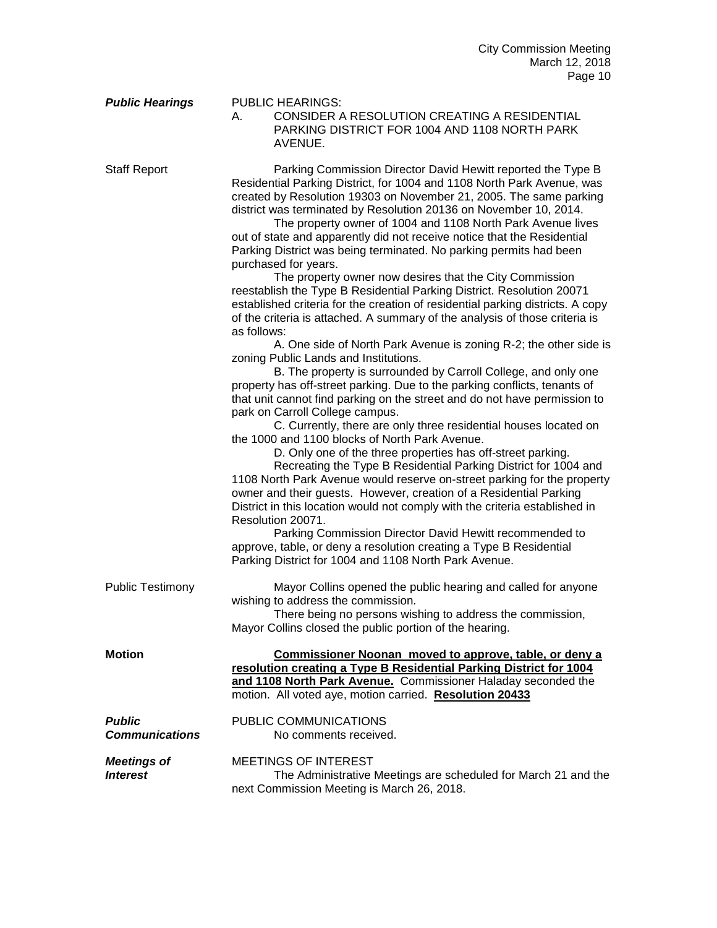| <b>Public Hearings</b>                 | <b>PUBLIC HEARINGS:</b><br>CONSIDER A RESOLUTION CREATING A RESIDENTIAL<br>А.<br>PARKING DISTRICT FOR 1004 AND 1108 NORTH PARK<br>AVENUE.                                                                                                                                                                                                                                                                                                                                                                                                                                                                                                                                                                                                                                                                                                                                                                                                                                                                                                                                                                                                                                                                                                                                                                                                                                                                                                                                                                                                                                                                                                                                                                                                                                                                                                                                                                                         |
|----------------------------------------|-----------------------------------------------------------------------------------------------------------------------------------------------------------------------------------------------------------------------------------------------------------------------------------------------------------------------------------------------------------------------------------------------------------------------------------------------------------------------------------------------------------------------------------------------------------------------------------------------------------------------------------------------------------------------------------------------------------------------------------------------------------------------------------------------------------------------------------------------------------------------------------------------------------------------------------------------------------------------------------------------------------------------------------------------------------------------------------------------------------------------------------------------------------------------------------------------------------------------------------------------------------------------------------------------------------------------------------------------------------------------------------------------------------------------------------------------------------------------------------------------------------------------------------------------------------------------------------------------------------------------------------------------------------------------------------------------------------------------------------------------------------------------------------------------------------------------------------------------------------------------------------------------------------------------------------|
| <b>Staff Report</b>                    | Parking Commission Director David Hewitt reported the Type B<br>Residential Parking District, for 1004 and 1108 North Park Avenue, was<br>created by Resolution 19303 on November 21, 2005. The same parking<br>district was terminated by Resolution 20136 on November 10, 2014.<br>The property owner of 1004 and 1108 North Park Avenue lives<br>out of state and apparently did not receive notice that the Residential<br>Parking District was being terminated. No parking permits had been<br>purchased for years.<br>The property owner now desires that the City Commission<br>reestablish the Type B Residential Parking District. Resolution 20071<br>established criteria for the creation of residential parking districts. A copy<br>of the criteria is attached. A summary of the analysis of those criteria is<br>as follows:<br>A. One side of North Park Avenue is zoning R-2; the other side is<br>zoning Public Lands and Institutions.<br>B. The property is surrounded by Carroll College, and only one<br>property has off-street parking. Due to the parking conflicts, tenants of<br>that unit cannot find parking on the street and do not have permission to<br>park on Carroll College campus.<br>C. Currently, there are only three residential houses located on<br>the 1000 and 1100 blocks of North Park Avenue.<br>D. Only one of the three properties has off-street parking.<br>Recreating the Type B Residential Parking District for 1004 and<br>1108 North Park Avenue would reserve on-street parking for the property<br>owner and their guests. However, creation of a Residential Parking<br>District in this location would not comply with the criteria established in<br>Resolution 20071.<br>Parking Commission Director David Hewitt recommended to<br>approve, table, or deny a resolution creating a Type B Residential<br>Parking District for 1004 and 1108 North Park Avenue. |
| <b>Public Testimony</b>                | Mayor Collins opened the public hearing and called for anyone<br>wishing to address the commission.<br>There being no persons wishing to address the commission,<br>Mayor Collins closed the public portion of the hearing.                                                                                                                                                                                                                                                                                                                                                                                                                                                                                                                                                                                                                                                                                                                                                                                                                                                                                                                                                                                                                                                                                                                                                                                                                                                                                                                                                                                                                                                                                                                                                                                                                                                                                                       |
| <b>Motion</b>                          | Commissioner Noonan moved to approve, table, or deny a<br>resolution creating a Type B Residential Parking District for 1004<br>and 1108 North Park Avenue. Commissioner Haladay seconded the<br>motion. All voted aye, motion carried. Resolution 20433                                                                                                                                                                                                                                                                                                                                                                                                                                                                                                                                                                                                                                                                                                                                                                                                                                                                                                                                                                                                                                                                                                                                                                                                                                                                                                                                                                                                                                                                                                                                                                                                                                                                          |
| <b>Public</b><br><b>Communications</b> | PUBLIC COMMUNICATIONS<br>No comments received.                                                                                                                                                                                                                                                                                                                                                                                                                                                                                                                                                                                                                                                                                                                                                                                                                                                                                                                                                                                                                                                                                                                                                                                                                                                                                                                                                                                                                                                                                                                                                                                                                                                                                                                                                                                                                                                                                    |
| <b>Meetings of</b><br><b>Interest</b>  | <b>MEETINGS OF INTEREST</b><br>The Administrative Meetings are scheduled for March 21 and the<br>next Commission Meeting is March 26, 2018.                                                                                                                                                                                                                                                                                                                                                                                                                                                                                                                                                                                                                                                                                                                                                                                                                                                                                                                                                                                                                                                                                                                                                                                                                                                                                                                                                                                                                                                                                                                                                                                                                                                                                                                                                                                       |